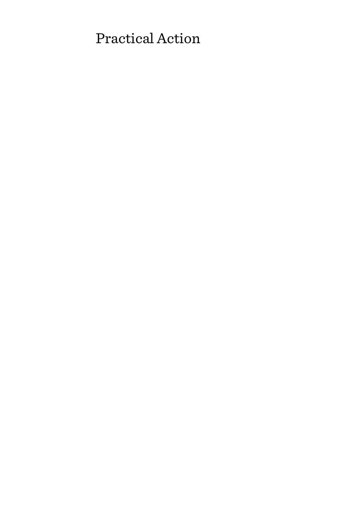# Practical Action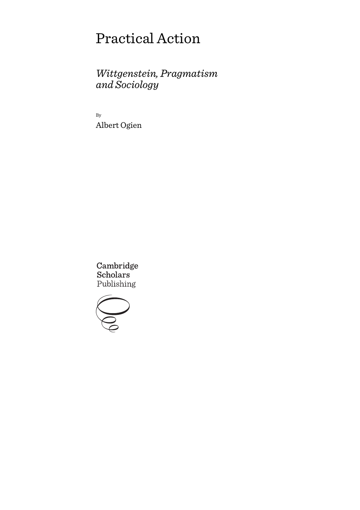# Practical Action

## *Wittgenstein, Pragmatism and Sociology*

By Albert Ogien

Cambridge **Scholars** Publishing

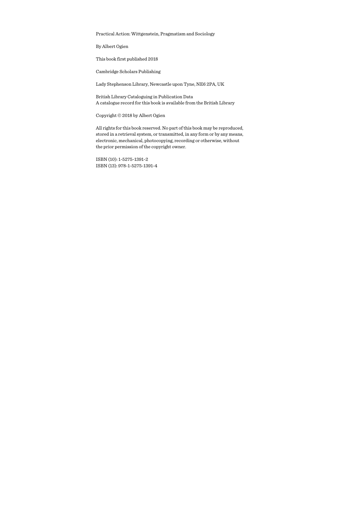Practical Action: Wittgenstein, Pragmatism and Sociology

By Albert Ogien

This book first published 2018

Cambridge Scholars Publishing

Lady Stephenson Library, Newcastle upon Tyne, NE6 2PA, UK

British Library Cataloguing in Publication Data A catalogue record for this book is available from the British Library

Copyright © 2018 by Albert Ogien

All rights for this book reserved. No part of this book may be reproduced, stored in a retrieval system, or transmitted, in any form or by any means, electronic, mechanical, photocopying, recording or otherwise, without the prior permission of the copyright owner.

ISBN (10): 1-5275-1391-2 ISBN (13): 978-1-5275-1391-4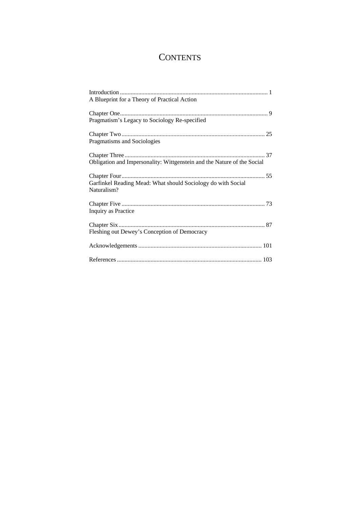## **CONTENTS**

| A Blueprint for a Theory of Practical Action                                |
|-----------------------------------------------------------------------------|
| Pragmatism's Legacy to Sociology Re-specified                               |
| Pragmatisms and Sociologies                                                 |
| Obligation and Impersonality: Wittgenstein and the Nature of the Social     |
| Garfinkel Reading Mead: What should Sociology do with Social<br>Naturalism? |
| Inquiry as Practice                                                         |
| Fleshing out Dewey's Conception of Democracy                                |
|                                                                             |
|                                                                             |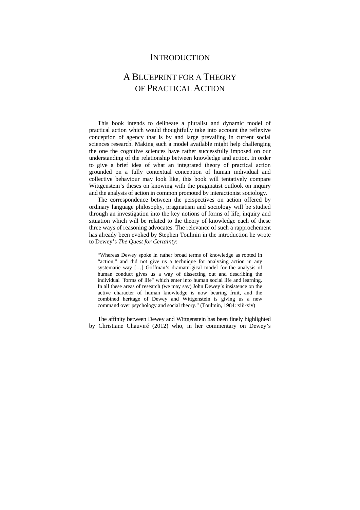### **INTRODUCTION**

## A BLUEPRINT FOR A THEORY OF PRACTICAL ACTION

This book intends to delineate a pluralist and dynamic model of practical action which would thoughtfully take into account the reflexive conception of agency that is by and large prevailing in current social sciences research. Making such a model available might help challenging the one the cognitive sciences have rather successfully imposed on our understanding of the relationship between knowledge and action. In order to give a brief idea of what an integrated theory of practical action grounded on a fully contextual conception of human individual and collective behaviour may look like, this book will tentatively compare Wittgenstein's theses on knowing with the pragmatist outlook on inquiry and the analysis of action in common promoted by interactionist sociology.

The correspondence between the perspectives on action offered by ordinary language philosophy, pragmatism and sociology will be studied through an investigation into the key notions of forms of life, inquiry and situation which will be related to the theory of knowledge each of these three ways of reasoning advocates. The relevance of such a rapprochement has already been evoked by Stephen Toulmin in the introduction he wrote to Dewey's *The Quest for Certainty*:

"Whereas Dewey spoke in rather broad terms of knowledge as rooted in "action," and did not give us a technique for analysing action in any systematic way […] Goffman's dramaturgical model for the analysis of human conduct gives us a way of dissecting out and describing the individual "forms of life" which enter into human social life and learning. In all these areas of research (we may say) John Dewey's insistence on the active character of human knowledge is now bearing fruit, and the combined heritage of Dewey and Wittgenstein is giving us a new command over psychology and social theory." (Toulmin, 1984: xiii-xiv)

The affinity between Dewey and Wittgenstein has been finely highlighted by Christiane Chauviré (2012) who, in her commentary on Dewey's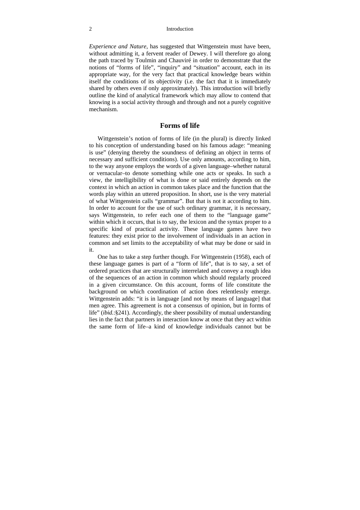#### 2 Introduction

*Experience and Nature*, has suggested that Wittgenstein must have been, without admitting it, a fervent reader of Dewey. I will therefore go along the path traced by Toulmin and Chauviré in order to demonstrate that the notions of "forms of life", "inquiry" and "situation" account, each in its appropriate way, for the very fact that practical knowledge bears within itself the conditions of its objectivity (i.e. the fact that it is immediately shared by others even if only approximately). This introduction will briefly outline the kind of analytical framework which may allow to contend that knowing is a social activity through and through and not a purely cognitive mechanism.

#### **Forms of life**

Wittgenstein's notion of forms of life (in the plural) is directly linked to his conception of understanding based on his famous adage: "meaning is use" (denying thereby the soundness of defining an object in terms of necessary and sufficient conditions). Use only amounts, according to him, to the way anyone employs the words of a given language–whether natural or vernacular–to denote something while one acts or speaks. In such a view, the intelligibility of what is done or said entirely depends on the context in which an action in common takes place and the function that the words play within an uttered proposition. In short, use is the very material of what Wittgenstein calls "grammar". But that is not it according to him. In order to account for the use of such ordinary grammar, it is necessary, says Wittgenstein, to refer each one of them to the "language game" within which it occurs, that is to say, the lexicon and the syntax proper to a specific kind of practical activity. These language games have two features: they exist prior to the involvement of individuals in an action in common and set limits to the acceptability of what may be done or said in it.

One has to take a step further though. For Wittgenstein (1958), each of these language games is part of a "form of life", that is to say, a set of ordered practices that are structurally interrelated and convey a rough idea of the sequences of an action in common which should regularly proceed in a given circumstance. On this account, forms of life constitute the background on which coordination of action does relentlessly emerge. Wittgenstein adds: "it is in language [and not by means of language] that men agree. This agreement is not a consensus of opinion, but in forms of life" (*ibid.*:§241). Accordingly, the sheer possibility of mutual understanding lies in the fact that partners in interaction know at once that they act within the same form of life–a kind of knowledge individuals cannot but be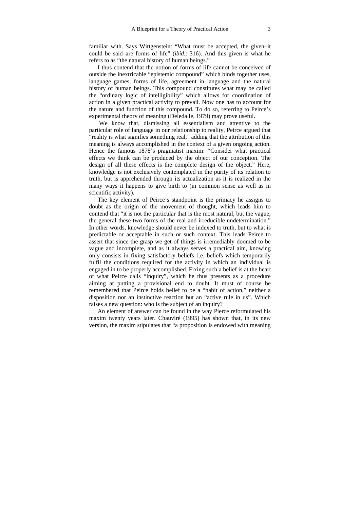familiar with. Says Wittgenstein: "What must be accepted, the given–it could be said–are forms of life" (*ibid.*: 316). And this given is what he refers to as "the natural history of human beings."

I thus contend that the notion of forms of life cannot be conceived of outside the inextricable "epistemic compound" which binds together uses, language games, forms of life, agreement in language and the natural history of human beings. This compound constitutes what may be called the "ordinary logic of intelligibility" which allows for coordination of action in a given practical activity to prevail. Now one has to account for the nature and function of this compound. To do so, referring to Peirce's experimental theory of meaning (Deledalle, 1979) may prove useful.

 We know that, dismissing all essentialism and attentive to the particular role of language in our relationship to reality, Peirce argued that "reality is what signifies something real," adding that the attribution of this meaning is always accomplished in the context of a given ongoing action. Hence the famous 1878's pragmatist maxim: "Consider what practical effects we think can be produced by the object of our conception. The design of all these effects is the complete design of the object." Here, knowledge is not exclusively contemplated in the purity of its relation to truth, but is apprehended through its actualization as it is realized in the many ways it happens to give birth to (in common sense as well as in scientific activity).

The key element of Peirce's standpoint is the primacy he assigns to doubt as the origin of the movement of thought, which leads him to contend that "it is not the particular that is the most natural, but the vague, the general these two forms of the real and irreducible undetermination." In other words, knowledge should never be indexed to truth, but to what is predictable or acceptable in such or such context. This leads Peirce to assert that since the grasp we get of things is irremediably doomed to be vague and incomplete, and as it always serves a practical aim, knowing only consists in fixing satisfactory beliefs–i.e. beliefs which temporarily fulfil the conditions required for the activity in which an individual is engaged in to be properly accomplished. Fixing such a belief is at the heart of what Peirce calls "inquiry", which he thus presents as a procedure aiming at putting a provisional end to doubt. It must of course be remembered that Peirce holds belief to be a "habit of action," neither a disposition nor an instinctive reaction but an "active rule in us". Which raises a new question: who is the subject of an inquiry?

An element of answer can be found in the way Pierce reformulated his maxim twenty years later. Chauviré (1995) has shown that, in its new version, the maxim stipulates that "a proposition is endowed with meaning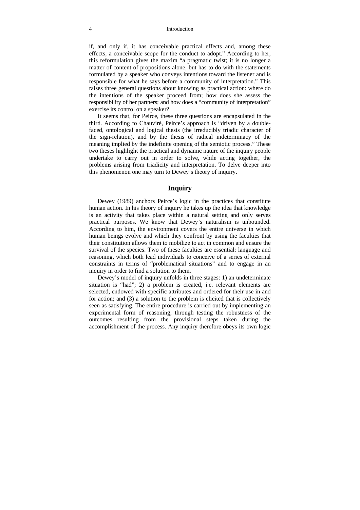#### 4 Introduction

if, and only if, it has conceivable practical effects and, among these effects, a conceivable scope for the conduct to adopt." According to her, this reformulation gives the maxim "a pragmatic twist; it is no longer a matter of content of propositions alone, but has to do with the statements formulated by a speaker who conveys intentions toward the listener and is responsible for what he says before a community of interpretation." This raises three general questions about knowing as practical action: where do the intentions of the speaker proceed from; how does she assess the responsibility of her partners; and how does a "community of interpretation" exercise its control on a speaker?

It seems that, for Peirce, these three questions are encapsulated in the third. According to Chauviré, Peirce's approach is "driven by a doublefaced, ontological and logical thesis (the irreducibly triadic character of the sign-relation), and by the thesis of radical indeterminacy of the meaning implied by the indefinite opening of the semiotic process." These two theses highlight the practical and dynamic nature of the inquiry people undertake to carry out in order to solve, while acting together, the problems arising from triadicity and interpretation. To delve deeper into this phenomenon one may turn to Dewey's theory of inquiry.

#### **Inquiry**

Dewey (1989) anchors Peirce's logic in the practices that constitute human action. In his theory of inquiry he takes up the idea that knowledge is an activity that takes place within a natural setting and only serves practical purposes. We know that Dewey's naturalism is unbounded. According to him, the environment covers the entire universe in which human beings evolve and which they confront by using the faculties that their constitution allows them to mobilize to act in common and ensure the survival of the species. Two of these faculties are essential: language and reasoning, which both lead individuals to conceive of a series of external constraints in terms of "problematical situations" and to engage in an inquiry in order to find a solution to them.

Dewey's model of inquiry unfolds in three stages: 1) an undeterminate situation is "had"; 2) a problem is created, i.e. relevant elements are selected, endowed with specific attributes and ordered for their use in and for action; and (3) a solution to the problem is elicited that is collectively seen as satisfying. The entire procedure is carried out by implementing an experimental form of reasoning, through testing the robustness of the outcomes resulting from the provisional steps taken during the accomplishment of the process. Any inquiry therefore obeys its own logic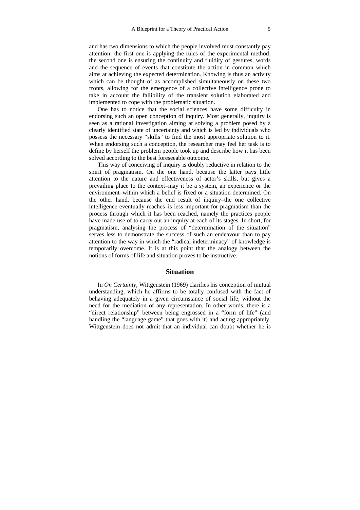and has two dimensions to which the people involved must constantly pay attention: the first one is applying the rules of the experimental method; the second one is ensuring the continuity and fluidity of gestures, words and the sequence of events that constitute the action in common which aims at achieving the expected determination. Knowing is thus an activity which can be thought of as accomplished simultaneously on these two fronts, allowing for the emergence of a collective intelligence prone to take in account the fallibility of the transient solution elaborated and implemented to cope with the problematic situation.

One has to notice that the social sciences have some difficulty in endorsing such an open conception of inquiry. Most generally, inquiry is seen as a rational investigation aiming at solving a problem posed by a clearly identified state of uncertainty and which is led by individuals who possess the necessary "skills" to find the most appropriate solution to it. When endorsing such a conception, the researcher may feel her task is to define by herself the problem people took up and describe how it has been solved according to the best foreseeable outcome.

This way of conceiving of inquiry is doubly reductive in relation to the spirit of pragmatism. On the one hand, because the latter pays little attention to the nature and effectiveness of actor's skills, but gives a prevailing place to the context–may it be a system, an experience or the environment–within which a belief is fixed or a situation determined. On the other hand, because the end result of inquiry–the one collective intelligence eventually reaches–is less important for pragmatism than the process through which it has been reached, namely the practices people have made use of to carry out an inquiry at each of its stages. In short, for pragmatism, analysing the process of "determination of the situation" serves less to demonstrate the success of such an endeavour than to pay attention to the way in which the "radical indeterminacy" of knowledge is temporarily overcome. It is at this point that the analogy between the notions of forms of life and situation proves to be instructive.

#### **Situation**

In *On Certainty*, Wittgenstein (1969) clarifies his conception of mutual understanding, which he affirms to be totally confused with the fact of behaving adequately in a given circumstance of social life, without the need for the mediation of any representation. In other words, there is a "direct relationship" between being engrossed in a "form of life" (and handling the "language game" that goes with it) and acting appropriately. Wittgenstein does not admit that an individual can doubt whether he is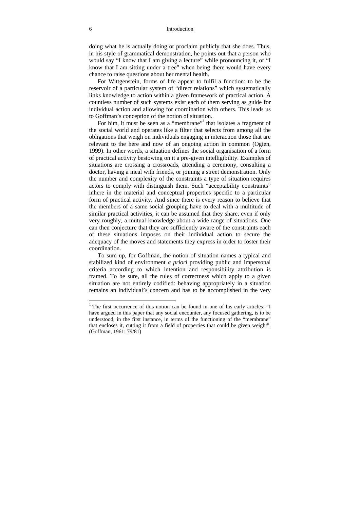#### 6 Introduction

doing what he is actually doing or proclaim publicly that she does. Thus, in his style of grammatical demonstration, he points out that a person who would say "I know that I am giving a lecture" while pronouncing it, or "I know that I am sitting under a tree" when being there would have every chance to raise questions about her mental health.

For Wittgenstein, forms of life appear to fulfil a function: to be the reservoir of a particular system of "direct relations" which systematically links knowledge to action within a given framework of practical action. A countless number of such systems exist each of them serving as guide for individual action and allowing for coordination with others. This leads us to Goffman's conception of the notion of situation.

For him, it must be seen as a "membrane"<sup>1</sup> that isolates a fragment of the social world and operates like a filter that selects from among all the obligations that weigh on individuals engaging in interaction those that are relevant to the here and now of an ongoing action in common (Ogien, 1999). In other words, a situation defines the social organisation of a form of practical activity bestowing on it a pre-given intelligibility. Examples of situations are crossing a crossroads, attending a ceremony, consulting a doctor, having a meal with friends, or joining a street demonstration. Only the number and complexity of the constraints a type of situation requires actors to comply with distinguish them. Such "acceptability constraints" inhere in the material and conceptual properties specific to a particular form of practical activity. And since there is every reason to believe that the members of a same social grouping have to deal with a multitude of similar practical activities, it can be assumed that they share, even if only very roughly, a mutual knowledge about a wide range of situations. One can then conjecture that they are sufficiently aware of the constraints each of these situations imposes on their individual action to secure the adequacy of the moves and statements they express in order to foster their coordination.

To sum up, for Goffman, the notion of situation names a typical and stabilized kind of environment *a priori* providing public and impersonal criteria according to which intention and responsibility attribution is framed. To be sure, all the rules of correctness which apply to a given situation are not entirely codified: behaving appropriately in a situation remains an individual's concern and has to be accomplished in the very

l

<sup>&</sup>lt;sup>1</sup> The first occurrence of this notion can be found in one of his early articles: "I have argued in this paper that any social encounter, any focused gathering, is to be understood, in the first instance, in terms of the functioning of the "membrane" that encloses it, cutting it from a field of properties that could be given weight". (Goffman, 1961: 79/81)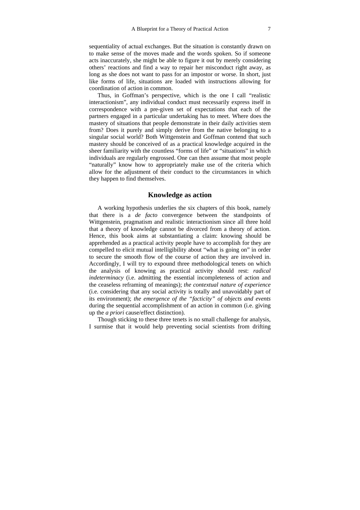sequentiality of actual exchanges. But the situation is constantly drawn on to make sense of the moves made and the words spoken. So if someone acts inaccurately, she might be able to figure it out by merely considering others' reactions and find a way to repair her misconduct right away, as long as she does not want to pass for an impostor or worse. In short, just like forms of life, situations are loaded with instructions allowing for coordination of action in common.

Thus, in Goffman's perspective, which is the one I call "realistic interactionism", any individual conduct must necessarily express itself in correspondence with a pre-given set of expectations that each of the partners engaged in a particular undertaking has to meet. Where does the mastery of situations that people demonstrate in their daily activities stem from? Does it purely and simply derive from the native belonging to a singular social world? Both Wittgenstein and Goffman contend that such mastery should be conceived of as a practical knowledge acquired in the sheer familiarity with the countless "forms of life" or "situations" in which individuals are regularly engrossed. One can then assume that most people "naturally" know how to appropriately make use of the criteria which allow for the adjustment of their conduct to the circumstances in which they happen to find themselves.

#### **Knowledge as action**

A working hypothesis underlies the six chapters of this book, namely that there is a *de facto* convergence between the standpoints of Wittgenstein, pragmatism and realistic interactionism since all three hold that a theory of knowledge cannot be divorced from a theory of action. Hence, this book aims at substantiating a claim: knowing should be apprehended as a practical activity people have to accomplish for they are compelled to elicit mutual intelligibility about "what is going on" in order to secure the smooth flow of the course of action they are involved in. Accordingly, I will try to expound three methodological tenets on which the analysis of knowing as practical activity should rest: *radical indeterminacy* (i.e. admitting the essential incompleteness of action and the ceaseless reframing of meanings); *the contextual nature of experience* (i.e. considering that any social activity is totally and unavoidably part of its environment); *the emergence of the "facticity" of objects and events*  during the sequential accomplishment of an action in common (i.e. giving up the *a priori* cause/effect distinction).

Though sticking to these three tenets is no small challenge for analysis, I surmise that it would help preventing social scientists from drifting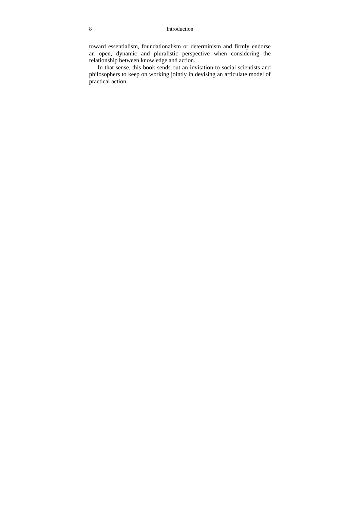toward essentialism, foundationalism or determinism and firmly endorse an open, dynamic and pluralistic perspective when considering the relationship between knowledge and action.

In that sense, this book sends out an invitation to social scientists and philosophers to keep on working jointly in devising an articulate model of practical action.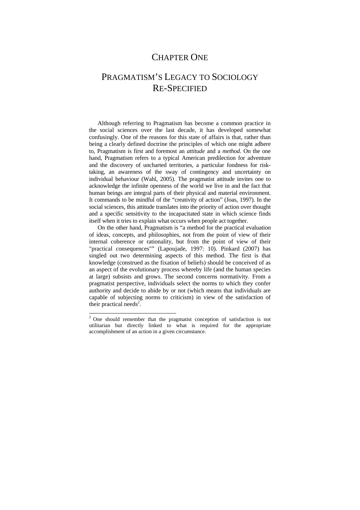### CHAPTER ONE

## PRAGMATISM'S LEGACY TO SOCIOLOGY RE-SPECIFIED

Although referring to Pragmatism has become a common practice in the social sciences over the last decade, it has developed somewhat confusingly. One of the reasons for this state of affairs is that, rather than being a clearly defined doctrine the principles of which one might adhere to, Pragmatism is first and foremost an *attitude* and a *method*. On the one hand, Pragmatism refers to a typical American predilection for adventure and the discovery of uncharted territories, a particular fondness for risktaking, an awareness of the sway of contingency and uncertainty on individual behaviour (Wahl, 2005). The pragmatist attitude invites one to acknowledge the infinite openness of the world we live in and the fact that human beings are integral parts of their physical and material environment. It commands to be mindful of the "creativity of action" (Joas, 1997). In the social sciences, this attitude translates into the priority of action over thought and a specific sensitivity to the incapacitated state in which science finds itself when it tries to explain what occurs when people act together.

On the other hand, Pragmatism is "a method for the practical evaluation of ideas, concepts, and philosophies, not from the point of view of their internal coherence or rationality, but from the point of view of their "practical consequences"" (Lapoujade, 1997: 10). Pinkard (2007) has singled out two determining aspects of this method. The first is that knowledge (construed as the fixation of beliefs) should be conceived of as an aspect of the evolutionary process whereby life (and the human species at large) subsists and grows. The second concerns normativity. From a pragmatist perspective, individuals select the norms to which they confer authority and decide to abide by or not (which means that individuals are capable of subjecting norms to criticism) in view of the satisfaction of their practical needs<sup>2</sup>.

l

<sup>&</sup>lt;sup>2</sup> One should remember that the pragmatist conception of satisfaction is not utilitarian but directly linked to what is required for the appropriate accomplishment of an action in a given circumstance.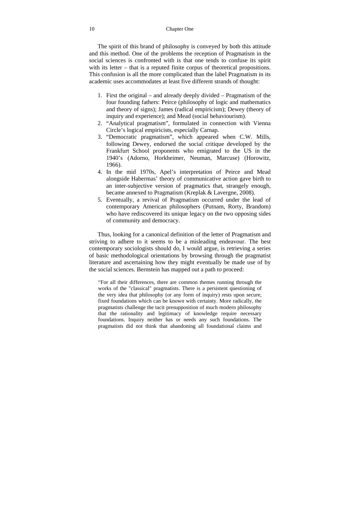The spirit of this brand of philosophy is conveyed by both this attitude and this method. One of the problems the reception of Pragmatism in the social sciences is confronted with is that one tends to confuse its spirit with its letter – that is a reputed finite corpus of theoretical propositions. This confusion is all the more complicated than the label Pragmatism in its academic uses accommodates at least five different strands of thought:

- 1. First the original and already deeply divided Pragmatism of the four founding fathers: Peirce (philosophy of logic and mathematics and theory of signs); James (radical empiricism); Dewey (theory of inquiry and experience); and Mead (social behaviourism).
- 2. "Analytical pragmatism", formulated in connection with Vienna Circle's logical empiricists, especially Carnap.
- 3. "Democratic pragmatism", which appeared when C.W. Mills, following Dewey, endorsed the social critique developed by the Frankfurt School proponents who emigrated to the US in the 1940's (Adorno, Horkheimer, Neuman, Marcuse) (Horowitz, 1966).
- 4. In the mid 1970s, Apel's interpretation of Peirce and Mead alongside Habermas' theory of communicative action gave birth to an inter-subjective version of pragmatics that, strangely enough, became annexed to Pragmatism (Kreplak & Lavergne, 2008).
- 5. Eventually, a revival of Pragmatism occurred under the lead of contemporary American philosophers (Putnam, Rorty, Brandom) who have rediscovered its unique legacy on the two opposing sides of community and democracy.

Thus, looking for a canonical definition of the letter of Pragmatism and striving to adhere to it seems to be a misleading endeavour. The best contemporary sociologists should do, I would argue, is retrieving a series of basic methodological orientations by browsing through the pragmatist literature and ascertaining how they might eventually be made use of by the social sciences. Bernstein has mapped out a path to proceed:

"For all their differences, there are common themes running through the works of the "classical" pragmatists. There is a persistent questioning of the very idea that philosophy (or any form of inquiry) rests upon secure, fixed foundations which can be known with certainty. More radically, the pragmatists challenge the tacit presupposition of much modern philosophy that the rationality and legitimacy of knowledge require necessary foundations. Inquiry neither has or needs any such foundations. The pragmatists did not think that abandoning all foundational claims and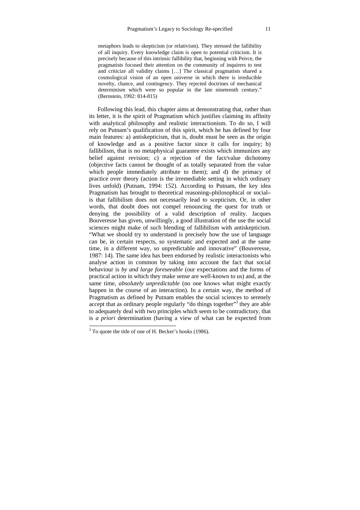metaphors leads to skepticism (or relativism). They stressed the fallibility of all inquiry. Every knowledge claim is open to potential criticism. It is precisely because of this intrinsic fallibility that, beginning with Peirce, the pragmatists focused their attention on the community of inquirers to test and criticize all validity claims […] The classical pragmatists shared a cosmological vision of an open universe in which there is irreducible novelty, chance, and contingency. They rejected doctrines of mechanical determinism which were so popular in the late nineteenth century." (Bernstein, 1992: 814-815)

Following this lead, this chapter aims at demonstrating that, rather than its letter, it is the spirit of Pragmatism which justifies claiming its affinity with analytical philosophy and realistic interactionism. To do so, I will rely on Putnam's qualification of this spirit, which he has defined by four main features: a) antiskepticism, that is, doubt must be seen as the origin of knowledge and as a positive factor since it calls for inquiry; b) fallibilism, that is no metaphysical guarantee exists which immunizes any belief against revision; c) a rejection of the fact/value dichotomy (objective facts cannot be thought of as totally separated from the value which people immediately attribute to them); and d) the primacy of practice over theory (action is the irremediable setting in which ordinary lives unfold) (Putnam, 1994: 152). According to Putnam, the key idea Pragmatism has brought to theoretical reasoning**–**philosophical or social**–** is that fallibilism does not necessarily lead to scepticism. Or, in other words, that doubt does not compel renouncing the quest for truth or denying the possibility of a valid description of reality. Jacques Bouveresse has given, unwillingly, a good illustration of the use the social sciences might make of such blending of fallibilism with antiskepticism. "What we should try to understand is precisely how the use of language can be, in certain respects, so systematic and expected and at the same time, in a different way, so unpredictable and innovative" (Bouveresse, 1987: 14). The same idea has been endorsed by realistic interactonists who analyse action in common by taking into account the fact that social behaviour is *by and large foreseeable* (our expectations and the forms of practical action in which they make sense are well-known to us) and, at the same time, *absolutely unpredictable* (no one knows what might exactly happen in the course of an interaction). In a certain way, the method of Pragmatism as defined by Putnam enables the social sciences to serenely accept that as ordinary people regularly "do things together"<sup>3</sup> they are able to adequately deal with two principles which seem to be contradictory, that is *a priori* determination (having a view of what can be expected from

<sup>&</sup>lt;sup>3</sup> To quote the title of one of H. Becker's books (1986).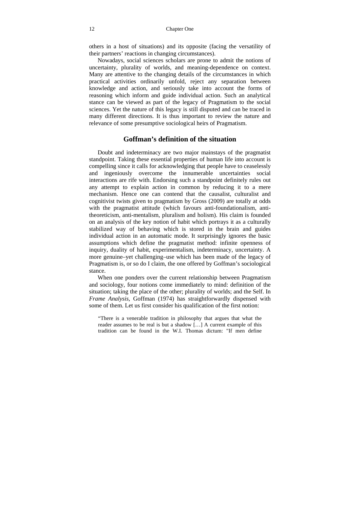others in a host of situations) and its opposite (facing the versatility of their partners' reactions in changing circumstances).

Nowadays, social sciences scholars are prone to admit the notions of uncertainty, plurality of worlds, and meaning-dependence on context. Many are attentive to the changing details of the circumstances in which practical activities ordinarily unfold, reject any separation between knowledge and action, and seriously take into account the forms of reasoning which inform and guide individual action. Such an analytical stance can be viewed as part of the legacy of Pragmatism to the social sciences. Yet the nature of this legacy is still disputed and can be traced in many different directions. It is thus important to review the nature and relevance of some presumptive sociological heirs of Pragmatism.

#### **Goffman's definition of the situation**

Doubt and indeterminacy are two major mainstays of the pragmatist standpoint. Taking these essential properties of human life into account is compelling since it calls for acknowledging that people have to ceaselessly and ingeniously overcome the innumerable uncertainties social interactions are rife with. Endorsing such a standpoint definitely rules out any attempt to explain action in common by reducing it to a mere mechanism. Hence one can contend that the causalist, culturalist and cognitivist twists given to pragmatism by Gross (2009) are totally at odds with the pragmatist attitude (which favours anti-foundationalism, antitheoreticism, anti-mentalism, pluralism and holism). His claim is founded on an analysis of the key notion of habit which portrays it as a culturally stabilized way of behaving which is stored in the brain and guides individual action in an automatic mode. It surprisingly ignores the basic assumptions which define the pragmatist method: infinite openness of inquiry, duality of habit, experimentalism, indeterminacy, uncertainty. A more genuine–yet challenging–use which has been made of the legacy of Pragmatism is, or so do I claim, the one offered by Goffman's sociological stance.

When one ponders over the current relationship between Pragmatism and sociology, four notions come immediately to mind: definition of the situation; taking the place of the other; plurality of worlds; and the Self. In *Frame Analysis,* Goffman (1974) has straightforwardly dispensed with some of them. Let us first consider his qualification of the first notion:

"There is a venerable tradition in philosophy that argues that what the reader assumes to be real is but a shadow […] A current example of this tradition can be found in the W.I. Thomas dictum: "If men define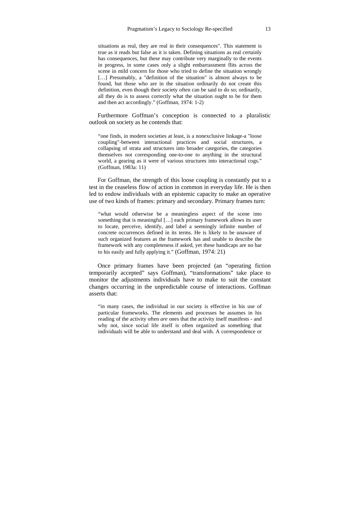situations as real, they are real in their consequences". This statement is true as it reads but false as it is taken. Defining situations as real certainly has consequences, but these may contribute very marginally to the events in progress, in some cases only a slight embarrassment flits across the scene in mild concern for those who tried to define the situation wrongly [...] Presumably, a "definition of the situation" is almost always to be found, but those who are in the situation ordinarily do not create this definition, even though their society often can be said to do so; ordinarily, all they do is to assess correctly what the situation ought to be for them and then act accordingly." (Goffman, 1974: 1-2)

Furthermore Goffman's conception is connected to a pluralistic outlook on society as he contends that:

"one finds, in modern societies at least, is a nonexclusive linkage-a "loose coupling"-between interactional practices and social structures, a collapsing of strata and structures into broader categories, the categories themselves not corresponding one-to-one to anything in the structural world, a gearing as it were of various structures into interactional cogs." (Goffman, 1983a: 11)

For Goffman, the strength of this loose coupling is constantly put to a test in the ceaseless flow of action in common in everyday life. He is then led to endow individuals with an epistemic capacity to make an operative use of two kinds of frames: primary and secondary. Primary frames turn:

"what would otherwise be a meaningless aspect of the scene into something that is meaningful […] each primary framework allows its user to locate, perceive, identify, and label a seemingly infinite number of concrete occurrences defined in its terms. He is likely to be unaware of such organized features as the framework has and unable to describe the framework with any completeness if asked, yet these handicaps are no bar to his easily and fully applying it." (Goffman, 1974: 21)

Once primary frames have been projected (an "operating fiction temporarily accepted" says Goffman), "transformations" take place to monitor the adjustments individuals have to make to suit the constant changes occurring in the unpredictable course of interactions. Goffman asserts that:

"in many cases, the individual in our society is effective in his use of particular frameworks. The elements and processes he assumes in his reading of the activity often *are* ones that the activity itself manifests - and why not, since social life itself is often organized as something that individuals will be able to understand and deal with. A correspondence or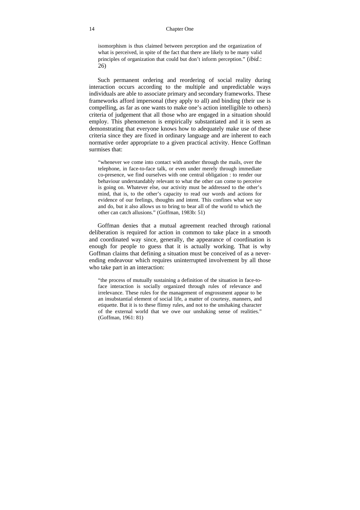isomorphism is thus claimed between perception and the organization of what is perceived, in spite of the fact that there are likely to be many valid principles of organization that could but don't inform perception." (*ibid.*: 26)

Such permanent ordering and reordering of social reality during interaction occurs according to the multiple and unpredictable ways individuals are able to associate primary and secondary frameworks. These frameworks afford impersonal (they apply to all) and binding (their use is compelling, as far as one wants to make one's action intelligible to others) criteria of judgement that all those who are engaged in a situation should employ. This phenomenon is empirically substantiated and it is seen as demonstrating that everyone knows how to adequately make use of these criteria since they are fixed in ordinary language and are inherent to each normative order appropriate to a given practical activity. Hence Goffman surmises that:

"whenever we come into contact with another through the mails, over the telephone, in face-to-face talk, or even under merely through immediate co-presence, we find ourselves with one central obligation : to render our behaviour understandably relevant to what the other can come to perceive is going on. Whatever else, our activity must be addressed to the other's mind, that is, to the other's capacity to read our words and actions for evidence of our feelings, thoughts and intent. This confines what we say and do, but it also allows us to bring to bear all of the world to which the other can catch allusions." (Goffman, 1983b: 51)

Goffman denies that a mutual agreement reached through rational deliberation is required for action in common to take place in a smooth and coordinated way since, generally, the appearance of coordination is enough for people to guess that it is actually working. That is why Goffman claims that defining a situation must be conceived of as a neverending endeavour which requires uninterrupted involvement by all those who take part in an interaction:

"the process of mutually sustaining a definition of the situation in face-toface interaction is socially organized through rules of relevance and irrelevance. These rules for the management of engrossment appear to be an insubstantial element of social life, a matter of courtesy, manners, and etiquette. But it is to these flimsy rules, and not to the unshaking character of the external world that we owe our unshaking sense of realities." (Goffman, 1961: 81)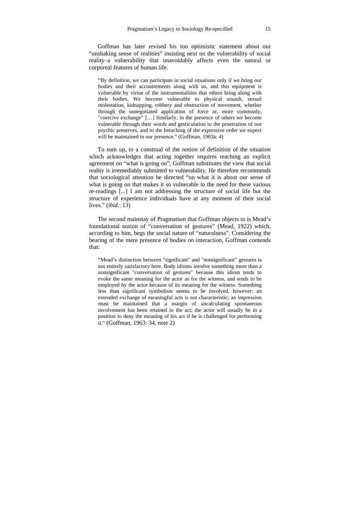Goffman has later revised his too optimistic statement about our "unshaking sense of realities" insisting next on the vulnerability of social reality–a vulnerability that unavoidably affects even the natural or corporeal features of human life.

"By definition, we can participate in social situations only if we bring our bodies and their accoutrements along with us, and this equipment is vulnerable by virtue of the instrumentalities that others bring along with their bodies. We become vulnerable to physical assault, sexual molestation, kidnapping, robbery and obstruction of movement, whether through the unnegotiated application of force or, more commonly, "coercive exchange" […] Similarly, in the presence of others we become vulnerable through their words and gesticulation to the penetration of our psychic preserves, and to the breaching of the expressive order we expect will be maintained in our presence." (Goffman, 1983a: 4)

To sum up, to a construal of the notion of definition of the situation which acknowledges that acting together requires reaching an explicit agreement on "what is going on", Goffman substitutes the view that social reality is irremediably submitted to vulnerability. He therefore recommends that sociological attention be directed "on what it is about our sense of what is going on that makes it so vulnerable to the need for these various re-readings [...] I am not addressing the structure of social life but the structure of experience individuals have at any moment of their social lives." (*ibid.*: 13)

The second mainstay of Pragmatism that Goffman objects to is Mead's foundational notion of "conversation of gestures" (Mead, 1922) which, according to him, begs the social nature of "naturalness". Considering the bearing of the mere presence of bodies on interaction, Goffman contends that:

"Mead's distinction between "significant" and "nonsignificant" gestures is not entirely satisfactory here. Body idioms involve something more than a nonsignificant "conversation of gestures" because this idiom tends to evoke the same meaning for the actor as for the witness, and tends to be employed by the actor because of its meaning for the witness. Something less than significant symbolism seems to be involved, however: an extended exchange of meaningful acts is not characteristic; an impression must be maintained that a margin of uncalculating spontaneous involvement has been retained in the act; the actor will usually be in a position to deny the meaning of his act if he is challenged for performing it." (Goffman, 1963: 34, note 2)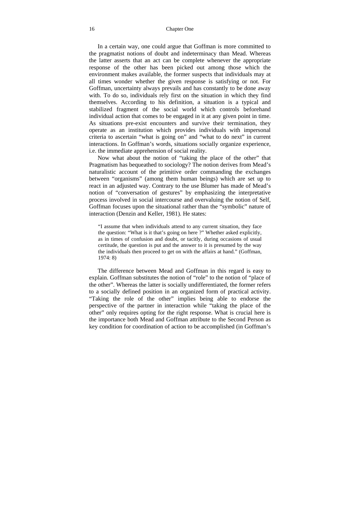In a certain way, one could argue that Goffman is more committed to the pragmatist notions of doubt and indeterminacy than Mead. Whereas the latter asserts that an act can be complete whenever the appropriate response of the other has been picked out among those which the environment makes available, the former suspects that individuals may at all times wonder whether the given response is satisfying or not. For Goffman, uncertainty always prevails and has constantly to be done away with. To do so, individuals rely first on the situation in which they find themselves. According to his definition, a situation is a typical and stabilized fragment of the social world which controls beforehand individual action that comes to be engaged in it at any given point in time. As situations pre-exist encounters and survive their termination, they operate as an institution which provides individuals with impersonal criteria to ascertain "what is going on" and "what to do next" in current interactions. In Goffman's words, situations socially organize experience, i.e. the immediate apprehension of social reality.

Now what about the notion of "taking the place of the other" that Pragmatism has bequeathed to sociology? The notion derives from Mead's naturalistic account of the primitive order commanding the exchanges between "organisms" (among them human beings) which are set up to react in an adjusted way. Contrary to the use Blumer has made of Mead's notion of "conversation of gestures" by emphasizing the interpretative process involved in social intercourse and overvaluing the notion of Self, Goffman focuses upon the situational rather than the "symbolic" nature of interaction (Denzin and Keller, 1981). He states:

"I assume that when individuals attend to any current situation, they face the question: "What is it that's going on here ?" Whether asked explicitly, as in times of confusion and doubt, or tacitly, during occasions of usual certitude, the question is put and the answer to it is presumed by the way the individuals then proceed to get on with the affairs at hand." (Goffman, 1974: 8)

The difference between Mead and Goffman in this regard is easy to explain. Goffman substitutes the notion of "role" to the notion of "place of the other". Whereas the latter is socially undifferentiated, the former refers to a socially defined position in an organized form of practical activity. "Taking the role of the other" implies being able to endorse the perspective of the partner in interaction while "taking the place of the other" only requires opting for the right response. What is crucial here is the importance both Mead and Goffman attribute to the Second Person as key condition for coordination of action to be accomplished (in Goffman's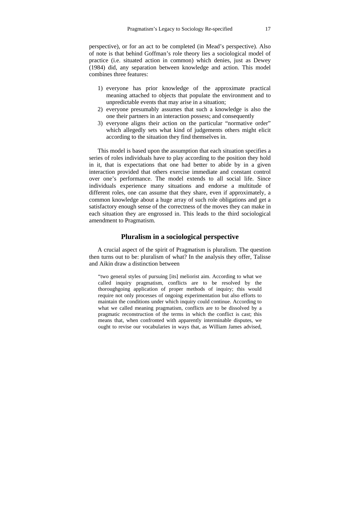perspective), or for an act to be completed (in Mead's perspective). Also of note is that behind Goffman's role theory lies a sociological model of practice (i.e. situated action in common) which denies, just as Dewey (1984) did, any separation between knowledge and action. This model combines three features:

- 1) everyone has prior knowledge of the approximate practical meaning attached to objects that populate the environment and to unpredictable events that may arise in a situation;
- 2) everyone presumably assumes that such a knowledge is also the one their partners in an interaction possess; and consequently
- 3) everyone aligns their action on the particular "normative order" which allegedly sets what kind of judgements others might elicit according to the situation they find themselves in.

This model is based upon the assumption that each situation specifies a series of roles individuals have to play according to the position they hold in it, that is expectations that one had better to abide by in a given interaction provided that others exercise immediate and constant control over one's performance. The model extends to all social life. Since individuals experience many situations and endorse a multitude of different roles, one can assume that they share, even if approximately, a common knowledge about a huge array of such role obligations and get a satisfactory enough sense of the correctness of the moves they can make in each situation they are engrossed in. This leads to the third sociological amendment to Pragmatism.

#### **Pluralism in a sociological perspective**

A crucial aspect of the spirit of Pragmatism is pluralism. The question then turns out to be: pluralism of what? In the analysis they offer, Talisse and Aikin draw a distinction between

"two general styles of pursuing [its] meliorist aim. According to what we called inquiry pragmatism, conflicts are to be resolved by the thoroughgoing application of proper methods of inquiry; this would require not only processes of ongoing experimentation but also efforts to maintain the conditions under which inquiry could continue. According to what we called meaning pragmatism, conflicts are to be dissolved by a pragmatic reconstruction of the terms in which the conflict is cast; this means that, when confronted with apparently interminable disputes, we ought to revise our vocabularies in ways that, as William James advised,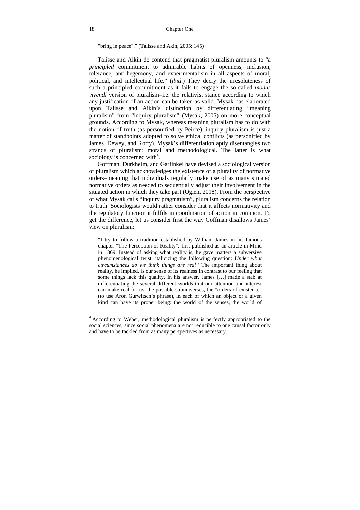"bring in peace"." (Talisse and Akin, 2005: 145)

Talisse and Aikin do contend that pragmatist pluralism amounts to "a *principled* commitment to admirable habits of openness, inclusion, tolerance, anti-hegemony, and experimentalism in all aspects of moral, political, and intellectual life." (*ibid*.) They decry the irresoluteness of such a principled commitment as it fails to engage the so-called *modus vivendi* version of pluralism–i.e. the relativist stance according to which any justification of an action can be taken as valid. Mysak has elaborated upon Talisse and Aikin's distinction by differentiating "meaning pluralism" from "inquiry pluralism" (Mysak, 2005) on more conceptual grounds. According to Mysak, whereas meaning pluralism has to do with the notion of truth (as personified by Peirce), inquiry pluralism is just a matter of standpoints adopted to solve ethical conflicts (as personified by James, Dewey, and Rorty). Mysak's differentiation aptly disentangles two strands of pluralism: moral and methodological. The latter is what sociology is concerned with $4$ .

Goffman, Durkheim, and Garfinkel have devised a sociological version of pluralism which acknowledges the existence of a plurality of normative orders–meaning that individuals regularly make use of as many situated normative orders as needed to sequentially adjust their involvement in the situated action in which they take part (Ogien, 2018). From the perspective of what Mysak calls "inquiry pragmatism", pluralism concerns the relation to truth. Sociologists would rather consider that it affects normativity and the regulatory function it fulfils in coordination of action in common. To get the difference, let us consider first the way Goffman disallows James' view on pluralism:

"I try to follow a tradition established by William James in his famous chapter "The Perception of Reality", first published as an article in Mind in 1869. Instead of asking what reality is, he gave matters a subversive phenomenological twist, italicizing the following question: *Under what circumstances do we think things are real?* The important thing about reality, he implied, is our sense of its realness in contrast to our feeling that some things lack this quality. In his answer, James […] made a stab at differentiating the several different worlds that our attention and interest can make real for us, the possible subuniverses, the "orders of existence" (to use Aron Gurwitsch's phrase), in each of which an object or a given kind can have its proper being: the world of the senses, the world of

l

<sup>&</sup>lt;sup>4</sup> According to Weber, methodological pluralism is perfectly appropriated to the social sciences, since social phenomena are not reducible to one causal factor only and have to be tackled from as many perspectives as necessary.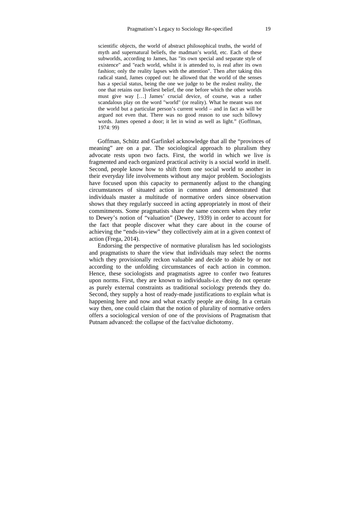scientific objects, the world of abstract philosophical truths, the world of myth and supernatural beliefs, the madman's world, etc. Each of these subworlds, according to James, has "its own special and separate style of existence" and "each world, whilst it is attended to, is real after its own fashion; only the reality lapses with the attention". Then after taking this radical stand, James copped out: he allowed that the world of the senses has a special status, being the one we judge to be the realest reality, the one that retains our liveliest belief, the one before which the other worlds must give way […] James' crucial device, of course, was a rather scandalous play on the word "world" (or reality). What he meant was not the world but a particular person's current world – and in fact as will be argued not even that. There was no good reason to use such billowy words. James opened a door; it let in wind as well as light." (Goffman, 1974: 99)

Goffman, Schütz and Garfinkel acknowledge that all the "provinces of meaning" are on a par. The sociological approach to pluralism they advocate rests upon two facts. First, the world in which we live is fragmented and each organized practical activity is a social world in itself. Second, people know how to shift from one social world to another in their everyday life involvements without any major problem. Sociologists have focused upon this capacity to permanently adjust to the changing circumstances of situated action in common and demonstrated that individuals master a multitude of normative orders since observation shows that they regularly succeed in acting appropriately in most of their commitments. Some pragmatists share the same concern when they refer to Dewey's notion of "valuation" (Dewey, 1939) in order to account for the fact that people discover what they care about in the course of achieving the "ends-in-view" they collectively aim at in a given context of action (Frega, 2014).

Endorsing the perspective of normative pluralism has led sociologists and pragmatists to share the view that individuals may select the norms which they provisionally reckon valuable and decide to abide by or not according to the unfolding circumstances of each action in common. Hence, these sociologists and pragmatists agree to confer two features upon norms. First, they are known to individuals-i.e. they do not operate as purely external constraints as traditional sociology pretends they do. Second, they supply a host of ready-made justifications to explain what is happening here and now and what exactly people are doing. In a certain way then, one could claim that the notion of plurality of normative orders offers a sociological version of one of the provisions of Pragmatism that Putnam advanced: the collapse of the fact/value dichotomy.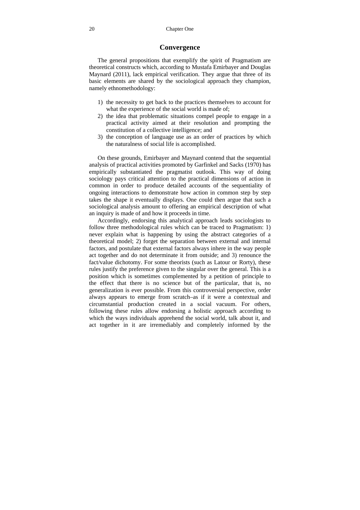#### **Convergence**

The general propositions that exemplify the spirit of Pragmatism are theoretical constructs which, according to Mustafa Emirbayer and Douglas Maynard (2011), lack empirical verification. They argue that three of its basic elements are shared by the sociological approach they champion, namely ethnomethodology:

- 1) the necessity to get back to the practices themselves to account for what the experience of the social world is made of;
- 2) the idea that problematic situations compel people to engage in a practical activity aimed at their resolution and prompting the constitution of a collective intelligence; and
- 3) the conception of language use as an order of practices by which the naturalness of social life is accomplished.

On these grounds, Emirbayer and Maynard contend that the sequential analysis of practical activities promoted by Garfinkel and Sacks (1970) has empirically substantiated the pragmatist outlook. This way of doing sociology pays critical attention to the practical dimensions of action in common in order to produce detailed accounts of the sequentiality of ongoing interactions to demonstrate how action in common step by step takes the shape it eventually displays. One could then argue that such a sociological analysis amount to offering an empirical description of what an inquiry is made of and how it proceeds in time.

Accordingly, endorsing this analytical approach leads sociologists to follow three methodological rules which can be traced to Pragmatism: 1) never explain what is happening by using the abstract categories of a theoretical model; 2) forget the separation between external and internal factors, and postulate that external factors always inhere in the way people act together and do not determinate it from outside; and 3) renounce the fact/value dichotomy. For some theorists (such as Latour or Rorty), these rules justify the preference given to the singular over the general. This is a position which is sometimes complemented by a petition of principle to the effect that there is no science but of the particular, that is, no generalization is ever possible. From this controversial perspective, order always appears to emerge from scratch–as if it were a contextual and circumstantial production created in a social vacuum. For others, following these rules allow endorsing a holistic approach according to which the ways individuals apprehend the social world, talk about it, and act together in it are irremediably and completely informed by the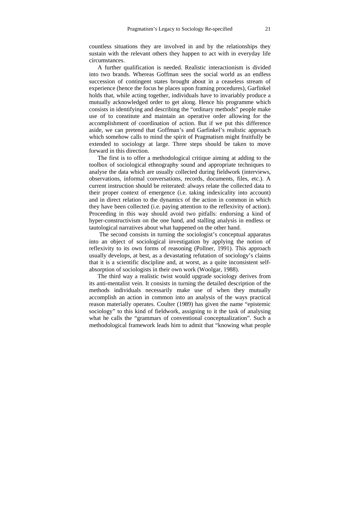countless situations they are involved in and by the relationships they sustain with the relevant others they happen to act with in everyday life circumstances.

A further qualification is needed. Realistic interactionism is divided into two brands. Whereas Goffman sees the social world as an endless succession of contingent states brought about in a ceaseless stream of experience (hence the focus he places upon framing procedures), Garfinkel holds that, while acting together, individuals have to invariably produce a mutually acknowledged order to get along. Hence his programme which consists in identifying and describing the "ordinary methods" people make use of to constitute and maintain an operative order allowing for the accomplishment of coordination of action. But if we put this difference aside, we can pretend that Goffman's and Garfinkel's realistic approach which somehow calls to mind the spirit of Pragmatism might fruitfully be extended to sociology at large. Three steps should be taken to move forward in this direction.

The first is to offer a methodological critique aiming at adding to the toolbox of sociological ethnography sound and appropriate techniques to analyse the data which are usually collected during fieldwork (interviews, observations, informal conversations, records, documents, files, etc.). A current instruction should be reiterated: always relate the collected data to their proper context of emergence (i.e. taking indexicality into account) and in direct relation to the dynamics of the action in common in which they have been collected (i.e. paying attention to the reflexivity of action). Proceeding in this way should avoid two pitfalls: endorsing a kind of hyper-constructivism on the one hand, and stalling analysis in endless or tautological narratives about what happened on the other hand.

 The second consists in turning the sociologist's conceptual apparatus into an object of sociological investigation by applying the notion of reflexivity to its own forms of reasoning (Pollner, 1991). This approach usually develops, at best, as a devastating refutation of sociology's claims that it is a scientific discipline and, at worst, as a quite inconsistent selfabsorption of sociologists in their own work (Woolgar, 1988).

The third way a realistic twist would upgrade sociology derives from its anti-mentalist vein. It consists in turning the detailed description of the methods individuals necessarily make use of when they mutually accomplish an action in common into an analysis of the ways practical reason materially operates. Coulter (1989) has given the name "epistemic sociology" to this kind of fieldwork, assigning to it the task of analysing what he calls the "grammars of conventional conceptualization". Such a methodological framework leads him to admit that "knowing what people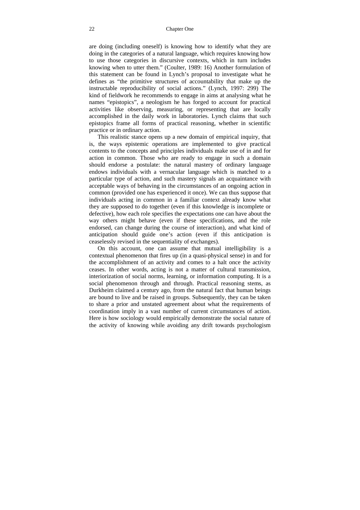are doing (including oneself) is knowing how to identify what they are doing in the categories of a natural language, which requires knowing how to use those categories in discursive contexts, which in turn includes knowing when to utter them." (Coulter, 1989: 16) Another formulation of this statement can be found in Lynch's proposal to investigate what he defines as "the primitive structures of accountability that make up the instructable reproducibility of social actions." (Lynch, 1997: 299) The kind of fieldwork he recommends to engage in aims at analysing what he names "epistopics", a neologism he has forged to account for practical activities like observing, measuring, or representing that are locally accomplished in the daily work in laboratories. Lynch claims that such epistopics frame all forms of practical reasoning, whether in scientific practice or in ordinary action.

This realistic stance opens up a new domain of empirical inquiry, that is, the ways epistemic operations are implemented to give practical contents to the concepts and principles individuals make use of in and for action in common. Those who are ready to engage in such a domain should endorse a postulate: the natural mastery of ordinary language endows individuals with a vernacular language which is matched to a particular type of action, and such mastery signals an acquaintance with acceptable ways of behaving in the circumstances of an ongoing action in common (provided one has experienced it once). We can thus suppose that individuals acting in common in a familiar context already know what they are supposed to do together (even if this knowledge is incomplete or defective), how each role specifies the expectations one can have about the way others might behave (even if these specifications, and the role endorsed, can change during the course of interaction), and what kind of anticipation should guide one's action (even if this anticipation is ceaselessly revised in the sequentiality of exchanges).

On this account, one can assume that mutual intelligibility is a contextual phenomenon that fires up (in a quasi-physical sense) in and for the accomplishment of an activity and comes to a halt once the activity ceases. In other words, acting is not a matter of cultural transmission, interiorization of social norms, learning, or information computing. It is a social phenomenon through and through. Practical reasoning stems, as Durkheim claimed a century ago, from the natural fact that human beings are bound to live and be raised in groups. Subsequently, they can be taken to share a prior and unstated agreement about what the requirements of coordination imply in a vast number of current circumstances of action. Here is how sociology would empirically demonstrate the social nature of the activity of knowing while avoiding any drift towards psychologism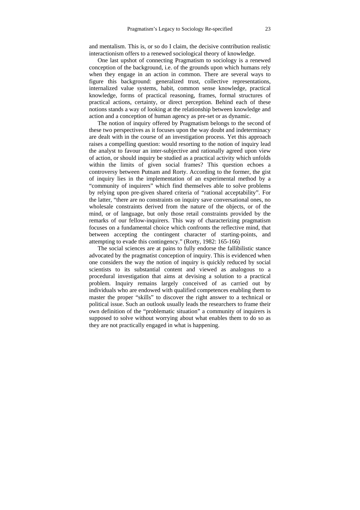and mentalism. This is, or so do I claim, the decisive contribution realistic interactionism offers to a renewed sociological theory of knowledge.

One last upshot of connecting Pragmatism to sociology is a renewed conception of the background, i.e. of the grounds upon which humans rely when they engage in an action in common. There are several ways to figure this background: generalized trust, collective representations, internalized value systems, habit, common sense knowledge, practical knowledge, forms of practical reasoning, frames, formal structures of practical actions, certainty, or direct perception. Behind each of these notions stands a way of looking at the relationship between knowledge and action and a conception of human agency as pre-set or as dynamic.

The notion of inquiry offered by Pragmatism belongs to the second of these two perspectives as it focuses upon the way doubt and indeterminacy are dealt with in the course of an investigation process. Yet this approach raises a compelling question: would resorting to the notion of inquiry lead the analyst to favour an inter-subjective and rationally agreed upon view of action, or should inquiry be studied as a practical activity which unfolds within the limits of given social frames? This question echoes a controversy between Putnam and Rorty. According to the former, the gist of inquiry lies in the implementation of an experimental method by a "community of inquirers" which find themselves able to solve problems by relying upon pre-given shared criteria of "rational acceptability". For the latter, "there are no constraints on inquiry save conversational ones, no wholesale constraints derived from the nature of the objects, or of the mind, or of language, but only those retail constraints provided by the remarks of our fellow-inquirers. This way of characterizing pragmatism focuses on a fundamental choice which confronts the reflective mind, that between accepting the contingent character of starting-points, and attempting to evade this contingency." (Rorty, 1982: 165-166)

The social sciences are at pains to fully endorse the fallibilistic stance advocated by the pragmatist conception of inquiry. This is evidenced when one considers the way the notion of inquiry is quickly reduced by social scientists to its substantial content and viewed as analogous to a procedural investigation that aims at devising a solution to a practical problem. Inquiry remains largely conceived of as carried out by individuals who are endowed with qualified competences enabling them to master the proper "skills" to discover the right answer to a technical or political issue. Such an outlook usually leads the researchers to frame their own definition of the "problematic situation" a community of inquirers is supposed to solve without worrying about what enables them to do so as they are not practically engaged in what is happening.